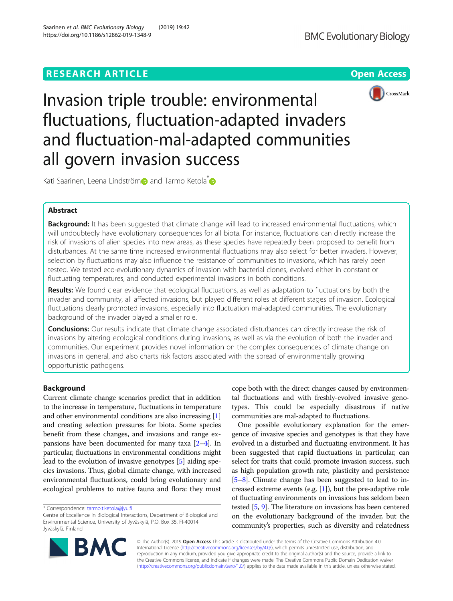# **RESEARCH ARTICLE Example 2014 12:30 The Contract of Contract ACCESS**



Invasion triple trouble: environmental fluctuations, fluctuation-adapted invaders and fluctuation-mal-adapted communities all govern invasion success

Kati Saarinen, Leena Lindströ[m](http://orcid.org/0000-0002-6452-4538)**n** and Tarmo Ketola<sup>\*</sup>

## Abstract

Background: It has been suggested that climate change will lead to increased environmental fluctuations, which will undoubtedly have evolutionary consequences for all biota. For instance, fluctuations can directly increase the risk of invasions of alien species into new areas, as these species have repeatedly been proposed to benefit from disturbances. At the same time increased environmental fluctuations may also select for better invaders. However, selection by fluctuations may also influence the resistance of communities to invasions, which has rarely been tested. We tested eco-evolutionary dynamics of invasion with bacterial clones, evolved either in constant or fluctuating temperatures, and conducted experimental invasions in both conditions.

Results: We found clear evidence that ecological fluctuations, as well as adaptation to fluctuations by both the invader and community, all affected invasions, but played different roles at different stages of invasion. Ecological fluctuations clearly promoted invasions, especially into fluctuation mal-adapted communities. The evolutionary background of the invader played a smaller role.

**Conclusions:** Our results indicate that climate change associated disturbances can directly increase the risk of invasions by altering ecological conditions during invasions, as well as via the evolution of both the invader and communities. Our experiment provides novel information on the complex consequences of climate change on invasions in general, and also charts risk factors associated with the spread of environmentally growing opportunistic pathogens.

## Background

Current climate change scenarios predict that in addition to the increase in temperature, fluctuations in temperature and other environmental conditions are also increasing [[1](#page-7-0)] and creating selection pressures for biota. Some species benefit from these changes, and invasions and range expansions have been documented for many taxa [[2](#page-7-0)–[4](#page-7-0)]. In particular, fluctuations in environmental conditions might lead to the evolution of invasive genotypes [\[5](#page-7-0)] aiding species invasions. Thus, global climate change, with increased environmental fluctuations, could bring evolutionary and ecological problems to native fauna and flora: they must

cope both with the direct changes caused by environmental fluctuations and with freshly-evolved invasive genotypes. This could be especially disastrous if native communities are mal-adapted to fluctuations.

One possible evolutionary explanation for the emergence of invasive species and genotypes is that they have evolved in a disturbed and fluctuating environment. It has been suggested that rapid fluctuations in particular, can select for traits that could promote invasion success, such as high population growth rate, plasticity and persistence [[5](#page-7-0)–[8](#page-7-0)]. Climate change has been suggested to lead to increased extreme events (e.g. [\[1\]](#page-7-0)), but the pre-adaptive role of fluctuating environments on invasions has seldom been tested [\[5,](#page-7-0) [9](#page-7-0)]. The literature on invasions has been centered on the evolutionary background of the invader, but the community's properties, such as diversity and relatedness



© The Author(s). 2019 Open Access This article is distributed under the terms of the Creative Commons Attribution 4.0 International License [\(http://creativecommons.org/licenses/by/4.0/](http://creativecommons.org/licenses/by/4.0/)), which permits unrestricted use, distribution, and reproduction in any medium, provided you give appropriate credit to the original author(s) and the source, provide a link to the Creative Commons license, and indicate if changes were made. The Creative Commons Public Domain Dedication waiver [\(http://creativecommons.org/publicdomain/zero/1.0/](http://creativecommons.org/publicdomain/zero/1.0/)) applies to the data made available in this article, unless otherwise stated.

<sup>\*</sup> Correspondence: [tarmo.t.ketola@jyu.fi](mailto:tarmo.t.ketola@jyu.fi)

Centre of Excellence in Biological Interactions, Department of Biological and Environmental Science, University of Jyväskylä, P.O. Box 35, FI-40014 Jyväskylä, Finland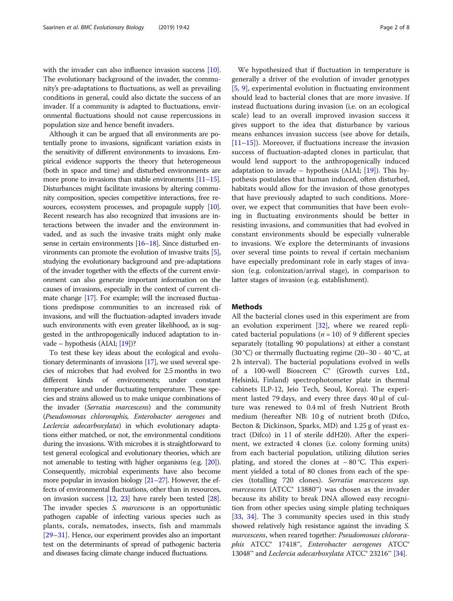with the invader can also influence invasion success [[10](#page-7-0)]. The evolutionary background of the invader, the community's pre-adaptations to fluctuations, as well as prevailing conditions in general, could also dictate the success of an invader. If a community is adapted to fluctuations, environmental fluctuations should not cause repercussions in population size and hence benefit invaders.

Although it can be argued that all environments are potentially prone to invasions, significant variation exists in the sensitivity of different environments to invasions. Empirical evidence supports the theory that heterogeneous (both in space and time) and disturbed environments are more prone to invasions than stable environments [[11](#page-7-0)–[15](#page-7-0)]. Disturbances might facilitate invasions by altering community composition, species competitive interactions, free resources, ecosystem processes, and propagule supply [\[10](#page-7-0)]. Recent research has also recognized that invasions are interactions between the invader and the environment invaded, and as such the invasive traits might only make sense in certain environments [\[16](#page-7-0)–[18\]](#page-7-0). Since disturbed environments can promote the evolution of invasive traits [[5](#page-7-0)], studying the evolutionary background and pre-adaptations of the invader together with the effects of the current environment can also generate important information on the causes of invasions, especially in the context of current climate change [[17](#page-7-0)]. For example; will the increased fluctuations predispose communities to an increased risk of invasions, and will the fluctuation-adapted invaders invade such environments with even greater likelihood, as is suggested in the anthropogenically induced adaptation to invade – hypothesis (AIAI; [[19\]](#page-7-0))?

To test these key ideas about the ecological and evolutionary determinants of invasions [\[17\]](#page-7-0), we used several species of microbes that had evolved for 2.5 months in two different kinds of environments; under constant temperature and under fluctuating temperature. These species and strains allowed us to make unique combinations of the invader (Serratia marcescens) and the community (Pseudomonas chlororaphis, Enterobacter aerogenes and Leclercia adecarboxylata) in which evolutionary adaptations either matched, or not, the environmental conditions during the invasions. With microbes it is straightforward to test general ecological and evolutionary theories, which are not amenable to testing with higher organisms (e.g. [\[20](#page-7-0)]). Consequently, microbial experiments have also become more popular in invasion biology  $[21-27]$  $[21-27]$  $[21-27]$ . However, the effects of environmental fluctuations, other than in resources, on invasion success [\[12,](#page-7-0) [23](#page-7-0)] have rarely been tested [\[28](#page-7-0)]. The invader species S. *marcescens* is an opportunistic pathogen capable of infecting various species such as plants, corals, nematodes, insects, fish and mammals [[29](#page-7-0)–[31\]](#page-7-0). Hence, our experiment provides also an important test on the determinants of spread of pathogenic bacteria and diseases facing climate change induced fluctuations.

We hypothesized that if fluctuation in temperature is generally a driver of the evolution of invader genotypes [[5,](#page-7-0) [9\]](#page-7-0), experimental evolution in fluctuating environment should lead to bacterial clones that are more invasive. If instead fluctuations during invasion (i.e. on an ecological scale) lead to an overall improved invasion success it gives support to the idea that disturbance by various means enhances invasion success (see above for details, [[11](#page-7-0)–[15](#page-7-0)]). Moreover, if fluctuations increase the invasion success of fluctuation-adapted clones in particular, that would lend support to the anthropogenically induced adaptation to invade – hypothesis (AIAI;  $[19]$  $[19]$ ). This hypothesis postulates that human induced, often disturbed, habitats would allow for the invasion of those genotypes that have previously adapted to such conditions. Moreover, we expect that communities that have been evolving in fluctuating environments should be better in resisting invasions, and communities that had evolved in constant environments should be especially vulnerable to invasions. We explore the determinants of invasions over several time points to reveal if certain mechanism have especially predominant role in early stages of invasion (e.g. colonization/arrival stage), in comparison to latter stages of invasion (e.g. establishment).

## Methods

All the bacterial clones used in this experiment are from an evolution experiment [\[32](#page-7-0)], where we reared replicated bacterial populations ( $n = 10$ ) of 9 different species separately (totalling 90 populations) at either a constant (30 °C) or thermally fluctuating regime (20–30 - 40 °C, at 2 h interval). The bacterial populations evolved in wells of a 100-well Bioscreen C® (Growth curves Ltd., Helsinki, Finland) spectrophotometer plate in thermal cabinets ILP-12, Jeio Tech, Seoul, Korea). The experiment lasted 79 days, and every three days 40 μl of culture was renewed to 0.4 ml of fresh Nutrient Broth medium (hereafter NB: 10 g of nutrient broth (Difco, Becton & Dickinson, Sparks, MD) and 1.25 g of yeast extract (Difco) in 11 of sterile ddH20). After the experiment, we extracted 4 clones (i.e. colony forming units) from each bacterial population, utilizing dilution series plating, and stored the clones at − 80 °C. This experiment yielded a total of 80 clones from each of the species (totalling 720 clones). Serratia marcescens ssp.  $marcescens$  (ATCC $^{\circ}$  13880 $^{\circ}$ ) was chosen as the invader because its ability to break DNA allowed easy recognition from other species using simple plating techniques [[33,](#page-7-0) [34\]](#page-7-0). The 3 community species used in this study showed relatively high resistance against the invading S. marcescens, when reared together: Pseudomonas chlororaphis ATCC® 17418™, Enterobacter aerogenes ATCC® 13048™ and Leclercia adecarboxylata ATCC® 23216™ [\[34](#page-7-0)].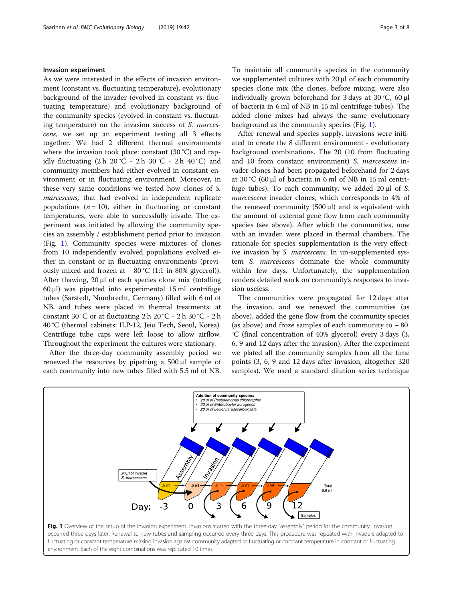## Invasion experiment

As we were interested in the effects of invasion environment (constant vs. fluctuating temperature), evolutionary background of the invader (evolved in constant vs. fluctuating temperature) and evolutionary background of the community species (evolved in constant vs. fluctuating temperature) on the invasion success of S. marcescens, we set up an experiment testing all 3 effects together. We had 2 different thermal environments where the invasion took place: constant (30 °C) and rapidly fluctuating  $(2 h 20^{\circ}C - 2 h 30^{\circ}C - 2 h 40^{\circ}C)$  and community members had either evolved in constant environment or in fluctuating environment. Moreover, in these very same conditions we tested how clones of S. marcescens, that had evolved in independent replicate populations  $(n = 10)$ , either in fluctuating or constant temperatures, were able to successfully invade. The experiment was initiated by allowing the community species an assembly / establishment period prior to invasion (Fig. 1). Community species were mixtures of clones from 10 independently evolved populations evolved either in constant or in fluctuating environments (previously mixed and frozen at  $-80$  °C (1:1 in 80% glycerol)). After thawing, 20 μl of each species clone mix (totalling 60 μl) was pipetted into experimental 15 ml centrifuge tubes (Sarstedt, Numbrecht, Germany) filled with 6 ml of NB, and tubes were placed in thermal treatments: at constant 30 °C or at fluctuating 2 h 20 °C - 2 h 30 °C - 2 h 40 °C (thermal cabinets: ILP-12, Jeio Tech, Seoul, Korea). Centrifuge tube caps were left loose to allow airflow. Throughout the experiment the cultures were stationary.

After the three-day community assembly period we renewed the resources by pipetting a 500 μl sample of each community into new tubes filled with 5.5 ml of NB. To maintain all community species in the community we supplemented cultures with 20 μl of each community species clone mix (the clones, before mixing, were also individually grown beforehand for 3 days at 30 °C, 60 μl of bacteria in 6 ml of NB in 15 ml centrifuge tubes). The added clone mixes had always the same evolutionary background as the community species (Fig. 1).

After renewal and species supply, invasions were initiated to create the 8 different environment - evolutionary background combinations. The 20 (10 from fluctuating and 10 from constant environment) S. marcescens invader clones had been propagated beforehand for 2 days at 30 °C (60 μl of bacteria in 6 ml of NB in 15 ml centrifuge tubes). To each community, we added  $20 \mu l$  of S. marcescens invader clones, which corresponds to 4% of the renewed community (500 μl) and is equivalent with the amount of external gene flow from each community species (see above). After which the communities, now with an invader, were placed in thermal chambers. The rationale for species supplementation is the very effective invasion by S. marcescens. In un-supplemented system S. marcescens dominate the whole community within few days. Unfortunately, the supplementation renders detailed work on community's responses to invasion useless.

The communities were propagated for 12 days after the invasion, and we renewed the communities (as above), added the gene flow from the community species (as above) and froze samples of each community to − 80 °C (final concentration of 40% glycerol) every 3 days (3, 6, 9 and 12 days after the invasion). After the experiment we plated all the community samples from all the time points (3, 6, 9 and 12 days after invasion, altogether 320 samples). We used a standard dilution series technique



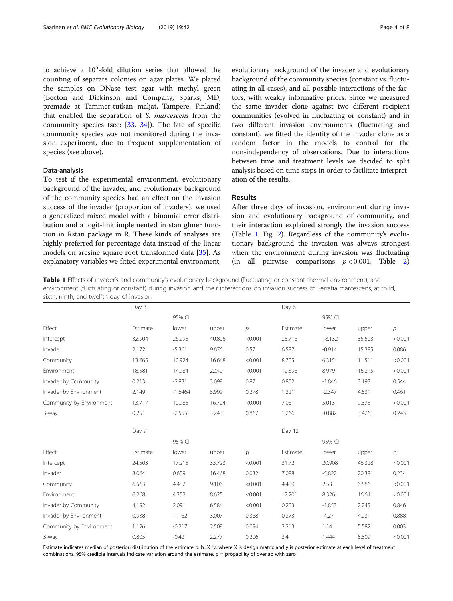<span id="page-3-0"></span>to achieve a 10<sup>5</sup>-fold dilution series that allowed the counting of separate colonies on agar plates. We plated the samples on DNase test agar with methyl green (Becton and Dickinson and Company, Sparks, MD; premade at Tammer-tutkan maljat, Tampere, Finland) that enabled the separation of S. marcescens from the community species (see: [\[33](#page-7-0), [34\]](#page-7-0)). The fate of specific community species was not monitored during the invasion experiment, due to frequent supplementation of species (see above).

## Data-analysis

To test if the experimental environment, evolutionary background of the invader, and evolutionary background of the community species had an effect on the invasion success of the invader (proportion of invaders), we used a generalized mixed model with a binomial error distribution and a logit-link implemented in stan glmer function in Rstan package in R. These kinds of analyses are highly preferred for percentage data instead of the linear models on arcsine square root transformed data [\[35](#page-7-0)]. As explanatory variables we fitted experimental environment,

evolutionary background of the invader and evolutionary background of the community species (constant vs. fluctuating in all cases), and all possible interactions of the factors, with weakly informative priors. Since we measured the same invader clone against two different recipient communities (evolved in fluctuating or constant) and in two different invasion environments (fluctuating and constant), we fitted the identity of the invader clone as a random factor in the models to control for the non-independency of observations. Due to interactions between time and treatment levels we decided to split analysis based on time steps in order to facilitate interpretation of the results.

## Results

After three days of invasion, environment during invasion and evolutionary background of community, and their interaction explained strongly the invasion success (Table 1, Fig. [2\)](#page-4-0). Regardless of the community's evolutionary background the invasion was always strongest when the environment during invasion was fluctuating (in all pairwise comparisons  $p < 0.001$ , Table [2](#page-5-0))

Table 1 Effects of invader's and community's evolutionary background (fluctuating or constant thermal environment), and environment (fluctuating or constant) during invasion and their interactions on invasion success of Serratia marcescens, at third, sixth, ninth, and twelfth day of invasion

|                          | Day 3    |           |        |         | Day 6    |          |        |                |
|--------------------------|----------|-----------|--------|---------|----------|----------|--------|----------------|
|                          |          | 95% CI    |        |         |          | 95% CI   |        |                |
| Effect                   | Estimate | lower     | upper  | р       | Estimate | lower    | upper  | $\overline{p}$ |
| Intercept                | 32.904   | 26.295    | 40.806 | < 0.001 | 25.716   | 18.132   | 35.503 | < 0.001        |
| Invader                  | 2.172    | $-5.361$  | 9.676  | 0.57    | 6.587    | $-0.914$ | 15.385 | 0.086          |
| Community                | 13.665   | 10.924    | 16.648 | < 0.001 | 8.705    | 6.315    | 11.511 | < 0.001        |
| Environment              | 18.581   | 14.984    | 22.401 | < 0.001 | 12.396   | 8.979    | 16.215 | < 0.001        |
| Invader by Community     | 0.213    | $-2.831$  | 3.099  | 0.87    | 0.802    | $-1.846$ | 3.193  | 0.544          |
| Invader by Environment   | 2.149    | $-1.6464$ | 5.999  | 0.278   | 1.221    | $-2.347$ | 4.531  | 0.461          |
| Community by Environment | 13.717   | 10.985    | 16.724 | < 0.001 | 7.061    | 5.013    | 9.375  | < 0.001        |
| 3-way                    | 0.251    | $-2.555$  | 3.243  | 0.867   | 1.266    | $-0.882$ | 3.426  | 0.243          |
|                          | Day 9    |           |        |         | Day 12   |          |        |                |
|                          |          | 95% CI    |        |         |          | 95% CI   |        |                |
| Effect                   | Estimate | lower     | upper  | р       | Estimate | lower    | upper  | p              |
| Intercept                | 24.503   | 17.215    | 33.723 | < 0.001 | 31.72    | 20.908   | 46.328 | < 0.001        |
| Invader                  | 8.064    | 0.659     | 16.468 | 0.032   | 7.088    | $-5.822$ | 20.381 | 0.234          |
| Community                | 6.563    | 4.482     | 9.106  | < 0.001 | 4.409    | 2.53     | 6.586  | < 0.001        |
| Environment              | 6.268    | 4.352     | 8.625  | < 0.001 | 12.201   | 8.326    | 16.64  | < 0.001        |
| Invader by Community     | 4.192    | 2.091     | 6.584  | < 0.001 | 0.203    | $-1.853$ | 2.245  | 0.846          |
| Invader by Environment   | 0.938    | $-1.162$  | 3.007  | 0.368   | 0.273    | $-4.27$  | 4.23   | 0.888          |
| Community by Environment | 1.126    | $-0.217$  | 2.509  | 0.094   | 3.213    | 1.14     | 5.582  | 0.003          |
| 3-way                    | 0.805    | $-0.42$   | 2.277  | 0.206   | 3.4      | 1.444    | 5.809  | < 0.001        |

Estimate indicates median of posteriori distribution of the estimate b.  $b = X^{-1}y$ , where X is design matrix and y is posterior estimate at each level of treatment combinations. 95% credible intervals indicate variation around the estimate.  $p =$  propability of overlap with zero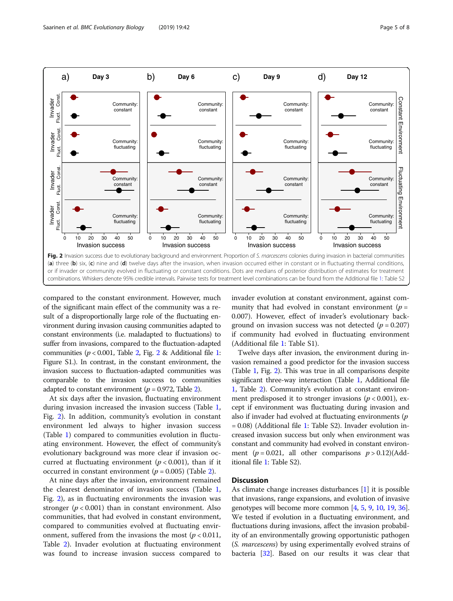<span id="page-4-0"></span>

compared to the constant environment. However, much of the significant main effect of the community was a result of a disproportionally large role of the fluctuating environment during invasion causing communities adapted to constant environments (i.e. maladapted to fluctuations) to suffer from invasions, compared to the fluctuation-adapted communities ( $p < 0.001$  $p < 0.001$ , Table [2,](#page-5-0) Fig. 2 & Additional file 1: Figure S1.). In contrast, in the constant environment, the invasion success to fluctuation-adapted communities was comparable to the invasion success to communities adapted to constant environment ( $p = 0.972$  $p = 0.972$ , Table 2).

At six days after the invasion, fluctuating environment during invasion increased the invasion success (Table [1](#page-3-0), Fig. 2). In addition, community's evolution in constant environment led always to higher invasion success (Table [1\)](#page-3-0) compared to communities evolution in fluctuating environment. However, the effect of community's evolutionary background was more clear if invasion occurred at fluctuating environment ( $p < 0.001$ ), than if it occurred in constant environment ( $p = 0.005$ ) (Table [2\)](#page-5-0).

At nine days after the invasion, environment remained the clearest denominator of invasion success (Table [1](#page-3-0), Fig. 2), as in fluctuating environments the invasion was stronger ( $p < 0.001$ ) than in constant environment. Also communities, that had evolved in constant environment, compared to communities evolved at fluctuating environment, suffered from the invasions the most ( $p < 0.011$ , Table [2](#page-5-0)). Invader evolution at fluctuating environment was found to increase invasion success compared to

invader evolution at constant environment, against community that had evolved in constant environment ( $p =$ 0.007). However, effect of invader's evolutionary background on invasion success was not detected ( $p = 0.207$ ) if community had evolved in fluctuating environment (Additional file [1](#page-6-0): Table S1).

Twelve days after invasion, the environment during invasion remained a good predictor for the invasion success (Table [1,](#page-3-0) Fig. 2). This was true in all comparisons despite significant three-way interaction (Table [1](#page-3-0), Additional file [1,](#page-6-0) Table [2](#page-5-0)). Community's evolution at constant environment predisposed it to stronger invasions ( $p < 0.001$ ), except if environment was fluctuating during invasion and also if invader had evolved at fluctuating environments  $(p)$  $= 0.08$ ) (Additional file [1](#page-6-0): Table S2). Invader evolution increased invasion success but only when environment was constant and community had evolved in constant environment ( $p = 0.021$ , all other comparisons  $p > 0.12$ )(Additional file [1](#page-6-0): Table S2).

## **Discussion**

As climate change increases disturbances [[1](#page-7-0)] it is possible that invasions, range expansions, and evolution of invasive genotypes will become more common  $[4, 5, 9, 10, 19, 36]$  $[4, 5, 9, 10, 19, 36]$  $[4, 5, 9, 10, 19, 36]$  $[4, 5, 9, 10, 19, 36]$  $[4, 5, 9, 10, 19, 36]$  $[4, 5, 9, 10, 19, 36]$  $[4, 5, 9, 10, 19, 36]$  $[4, 5, 9, 10, 19, 36]$  $[4, 5, 9, 10, 19, 36]$  $[4, 5, 9, 10, 19, 36]$  $[4, 5, 9, 10, 19, 36]$  $[4, 5, 9, 10, 19, 36]$  $[4, 5, 9, 10, 19, 36]$ . We tested if evolution in a fluctuating environment, and fluctuations during invasions, affect the invasion probability of an environmentally growing opportunistic pathogen (S. marcescens) by using experimentally evolved strains of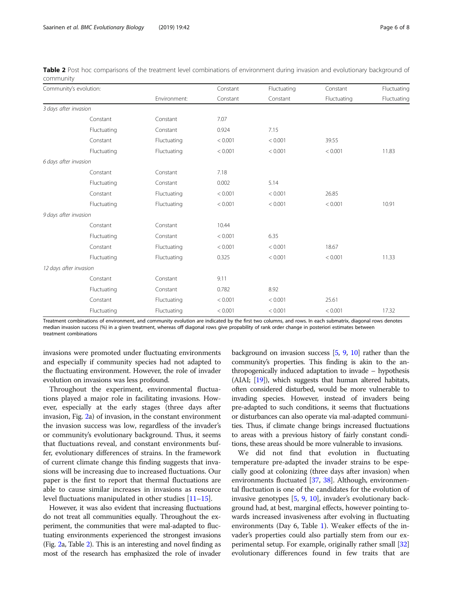| Community's evolution: |             |              | Constant | Fluctuating | Constant    | Fluctuating |
|------------------------|-------------|--------------|----------|-------------|-------------|-------------|
|                        |             | Environment: | Constant | Constant    | Fluctuating | Fluctuating |
| 3 days after invasion  |             |              |          |             |             |             |
|                        | Constant    | Constant     | 7.07     |             |             |             |
|                        | Fluctuating | Constant     | 0.924    | 7.15        |             |             |
|                        | Constant    | Fluctuating  | < 0.001  | < 0.001     | 39.55       |             |
|                        | Fluctuating | Fluctuating  | < 0.001  | < 0.001     | < 0.001     | 11.83       |
| 6 days after invasion  |             |              |          |             |             |             |
|                        | Constant    | Constant     | 7.18     |             |             |             |
|                        | Fluctuating | Constant     | 0.002    | 5.14        |             |             |
|                        | Constant    | Fluctuating  | < 0.001  | < 0.001     | 26.85       |             |
|                        | Fluctuating | Fluctuating  | < 0.001  | < 0.001     | < 0.001     | 10.91       |
| 9 days after invasion  |             |              |          |             |             |             |
|                        | Constant    | Constant     | 10.44    |             |             |             |
|                        | Fluctuating | Constant     | < 0.001  | 6.35        |             |             |
|                        | Constant    | Fluctuating  | < 0.001  | < 0.001     | 18.67       |             |
|                        | Fluctuating | Fluctuating  | 0.325    | < 0.001     | < 0.001     | 11.33       |
| 12 days after invasion |             |              |          |             |             |             |
|                        | Constant    | Constant     | 9.11     |             |             |             |
|                        | Fluctuating | Constant     | 0.782    | 8.92        |             |             |
|                        | Constant    | Fluctuating  | < 0.001  | < 0.001     | 25.61       |             |
|                        | Fluctuating | Fluctuating  | < 0.001  | < 0.001     | < 0.001     | 17.32       |

<span id="page-5-0"></span>Table 2 Post hoc comparisons of the treatment level combinations of environment during invasion and evolutionary background of community

Treatment combinations of environment, and community evolution are indicated by the first two columns, and rows. In each submatrix, diagonal rows denotes median invasion success (%) in a given treatment, whereas off diagonal rows give propability of rank order change in posteriori estimates between treatment combinations

invasions were promoted under fluctuating environments and especially if community species had not adapted to the fluctuating environment. However, the role of invader evolution on invasions was less profound.

Throughout the experiment, environmental fluctuations played a major role in facilitating invasions. However, especially at the early stages (three days after invasion, Fig. [2a](#page-4-0)) of invasion, in the constant environment the invasion success was low, regardless of the invader's or community's evolutionary background. Thus, it seems that fluctuations reveal, and constant environments buffer, evolutionary differences of strains. In the framework of current climate change this finding suggests that invasions will be increasing due to increased fluctuations. Our paper is the first to report that thermal fluctuations are able to cause similar increases in invasions as resource level fluctuations manipulated in other studies [[11](#page-7-0)–[15](#page-7-0)].

However, it was also evident that increasing fluctuations do not treat all communities equally. Throughout the experiment, the communities that were mal-adapted to fluctuating environments experienced the strongest invasions (Fig. [2a](#page-4-0), Table 2). This is an interesting and novel finding as most of the research has emphasized the role of invader background on invasion success [\[5,](#page-7-0) [9](#page-7-0), [10\]](#page-7-0) rather than the community's properties. This finding is akin to the anthropogenically induced adaptation to invade – hypothesis (AIAI; [[19](#page-7-0)]), which suggests that human altered habitats, often considered disturbed, would be more vulnerable to invading species. However, instead of invaders being pre-adapted to such conditions, it seems that fluctuations or disturbances can also operate via mal-adapted communities. Thus, if climate change brings increased fluctuations to areas with a previous history of fairly constant conditions, these areas should be more vulnerable to invasions.

We did not find that evolution in fluctuating temperature pre-adapted the invader strains to be especially good at colonizing (three days after invasion) when environments fluctuated [[37,](#page-7-0) [38\]](#page-7-0). Although, environmental fluctuation is one of the candidates for the evolution of invasive genotypes [\[5,](#page-7-0) [9](#page-7-0), [10\]](#page-7-0), invader's evolutionary background had, at best, marginal effects, however pointing towards increased invasiveness after evolving in fluctuating environments (Day 6, Table [1](#page-3-0)). Weaker effects of the invader's properties could also partially stem from our experimental setup. For example, originally rather small [[32](#page-7-0)] evolutionary differences found in few traits that are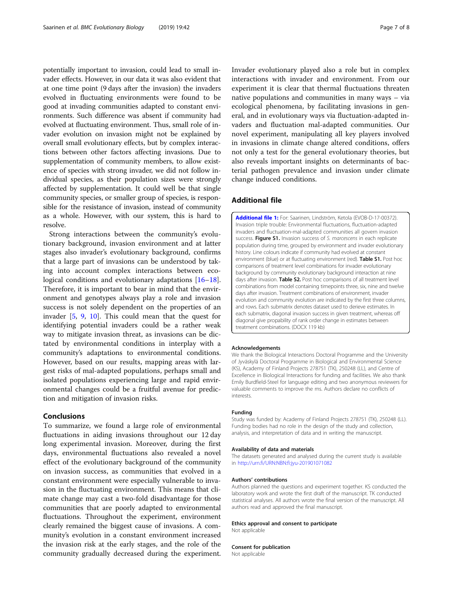<span id="page-6-0"></span>potentially important to invasion, could lead to small invader effects. However, in our data it was also evident that at one time point (9 days after the invasion) the invaders evolved in fluctuating environments were found to be good at invading communities adapted to constant environments. Such difference was absent if community had evolved at fluctuating environment. Thus, small role of invader evolution on invasion might not be explained by overall small evolutionary effects, but by complex interactions between other factors affecting invasions. Due to supplementation of community members, to allow existence of species with strong invader, we did not follow individual species, as their population sizes were strongly affected by supplementation. It could well be that single community species, or smaller group of species, is responsible for the resistance of invasion, instead of community as a whole. However, with our system, this is hard to resolve.

Strong interactions between the community's evolutionary background, invasion environment and at latter stages also invader's evolutionary background, confirms that a large part of invasions can be understood by taking into account complex interactions between ecological conditions and evolutionary adaptations [[16](#page-7-0)–[18](#page-7-0)]. Therefore, it is important to bear in mind that the environment and genotypes always play a role and invasion success is not solely dependent on the properties of an invader [[5](#page-7-0), [9](#page-7-0), [10\]](#page-7-0). This could mean that the quest for identifying potential invaders could be a rather weak way to mitigate invasion threat, as invasions can be dictated by environmental conditions in interplay with a community's adaptations to environmental conditions. However, based on our results, mapping areas with largest risks of mal-adapted populations, perhaps small and isolated populations experiencing large and rapid environmental changes could be a fruitful avenue for prediction and mitigation of invasion risks.

### Conclusions

To summarize, we found a large role of environmental fluctuations in aiding invasions throughout our 12 day long experimental invasion. Moreover, during the first days, environmental fluctuations also revealed a novel effect of the evolutionary background of the community on invasion success, as communities that evolved in a constant environment were especially vulnerable to invasion in the fluctuating environment. This means that climate change may cast a two-fold disadvantage for those communities that are poorly adapted to environmental fluctuations. Throughout the experiment, environment clearly remained the biggest cause of invasions. A community's evolution in a constant environment increased the invasion risk at the early stages, and the role of the community gradually decreased during the experiment.

Invader evolutionary played also a role but in complex interactions with invader and environment. From our experiment it is clear that thermal fluctuations threaten native populations and communities in many ways – via ecological phenomena, by facilitating invasions in general, and in evolutionary ways via fluctuation-adapted invaders and fluctuation mal-adapted communities. Our novel experiment, manipulating all key players involved in invasions in climate change altered conditions, offers not only a test for the general evolutionary theories, but also reveals important insights on determinants of bacterial pathogen prevalence and invasion under climate change induced conditions.

## Additional file

[Additional file 1:](https://doi.org/10.1186/s12862-019-1348-9) For: Saarinen, Lindström, Ketola (EVOB-D-17-00372). Invasion triple trouble: Environmental fluctuations, fluctuation-adapted invaders and fluctuation-mal-adapted communities all govern invasion success. Figure S1. Invasion success of S. marcescens in each replicate population during time, grouped by environment and invader evolutionary history. Line colours indicate if community had evolved at constant environment (blue) or at fluctuating environment (red). Table S1. Post hoc comparisons of treatment level combinations for invader evolutionary background by community evolutionary background interaction at nine days after invasion. Table S2. Post hoc comparisons of all treatment level combinations from model containing timepoints three, six, nine and twelve days after invasion. Treatment combinations of environment, invader evolution and community evolution are indicated by the first three columns, and rows. Each submatrix denotes dataset used to derieve estimates. In each submatrix, diagonal invasion success in given treatment, whereas off diagonal give propability of rank order change in estimates between treatment combinations. (DOCX 119 kb)

#### Acknowledgements

We thank the Biological Interactions Doctoral Programme and the University of Jyväskylä Doctoral Programme in Biological and Environmental Science (KS), Academy of Finland Projects 278751 (TK), 250248 (LL), and Centre of Excellence in Biological Interactions for funding and facilities. We also thank Emily Burdfield-Steel for language editing and two anonymous reviewers for valuable comments to improve the ms. Authors declare no conflicts of interests.

#### Funding

Study was funded by: Academy of Finland Projects 278751 (TK), 250248 (LL). Funding bodies had no role in the design of the study and collection, analysis, and interpretation of data and in writing the manuscript.

#### Availability of data and materials

The datasets generated and analysed during the current study is available in <http://urn.fi/URN:NBN:fi:jyu-201901071082>

#### Authors' contributions

Authors planned the questions and experiment together. KS conducted the laboratory work and wrote the first draft of the manuscript. TK conducted statistical analyses. All authors wrote the final version of the manuscript. All authors read and approved the final manuscript.

## Ethics approval and consent to participate

Not applicable

#### Consent for publication

Not applicable